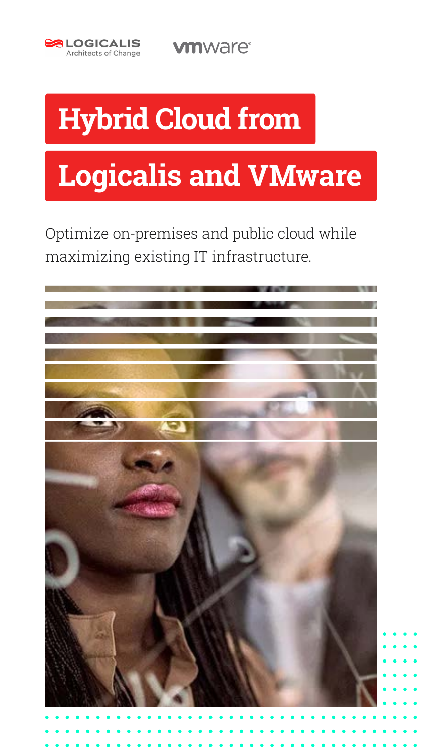

**vmware**<sup>®</sup>

# **Hybrid Cloud from**

# **Logicalis and VMware**

Optimize on-premises and public cloud while maximizing existing IT infrastructure.

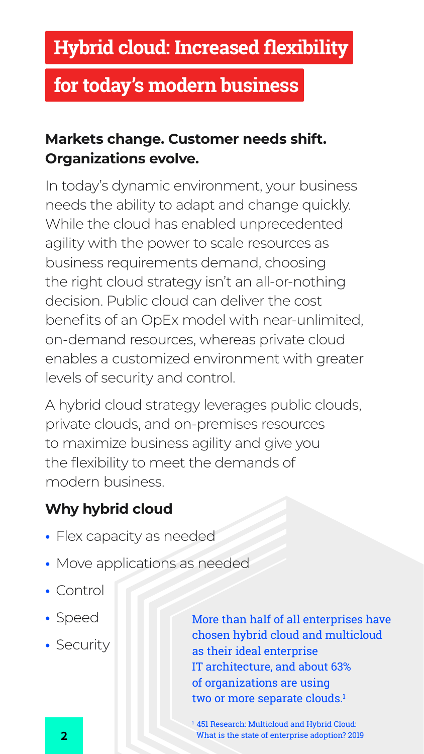#### **Markets change. Customer needs shift. Organizations evolve.**

In today's dynamic environment, your business needs the ability to adapt and change quickly. While the cloud has enabled unprecedented agility with the power to scale resources as business requirements demand, choosing the right cloud strategy isn't an all-or-nothing decision. Public cloud can deliver the cost benefits of an OpEx model with near-unlimited, on-demand resources, whereas private cloud enables a customized environment with greater levels of security and control.

> More than half of all enterprises have chosen hybrid cloud and multicloud as their ideal enterprise IT architecture, and about 63% of organizations are using two or more separate clouds.<sup>1</sup>

<sup>1</sup> 451 Research: Multicloud and Hybrid Cloud: **2** What is the state of enterprise adoption? 2019

A hybrid cloud strategy leverages public clouds, private clouds, and on-premises resources to maximize business agility and give you the flexibility to meet the demands of modern business.

#### **Why hybrid cloud**

- **•** Flex capacity as needed
- **•** Move applications as needed
- **•** Control
- **•** Speed
- **•** Security

### **Hybrid cloud: Increased flexibility**

### **for today's modern business**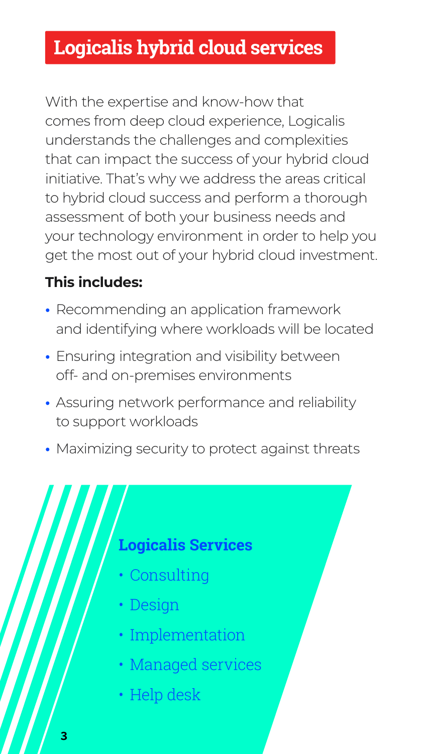With the expertise and know-how that comes from deep cloud experience, Logicalis understands the challenges and complexities that can impact the success of your hybrid cloud initiative. That's why we address the areas critical to hybrid cloud success and perform a thorough assessment of both your business needs and your technology environment in order to help you get the most out of your hybrid cloud investment.

#### **This includes:**

- **•** Recommending an application framework and identifying where workloads will be located
- **•** Ensuring integration and visibility between off- and on-premises environments
- **•** Assuring network performance and reliability to support workloads
- **•** Maximizing security to protect against threats



### **Logicalis hybrid cloud services**

### **Logicalis Services**

- Consulting
- Design
- Implementation
- Managed services
- Help desk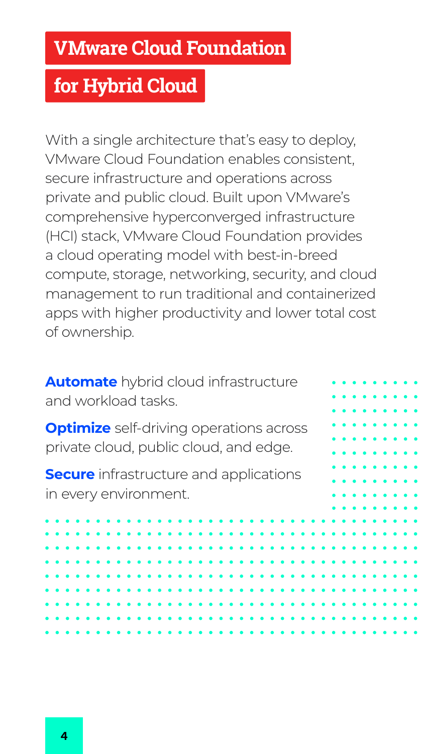With a single architecture that's easy to deploy, VMware Cloud Foundation enables consistent, secure infrastructure and operations across private and public cloud. Built upon VMware's comprehensive hyperconverged infrastructure (HCI) stack, VMware Cloud Foundation provides a cloud operating model with best-in-breed compute, storage, networking, security, and cloud management to run traditional and containerized apps with higher productivity and lower total cost of ownership.

**Secure** infrastructure and applications in every environment.



**Automate** hybrid cloud infrastructure and workload tasks.

**Optimize** self-driving operations across private cloud, public cloud, and edge.

### **VMware Cloud Foundation**

## **for Hybrid Cloud**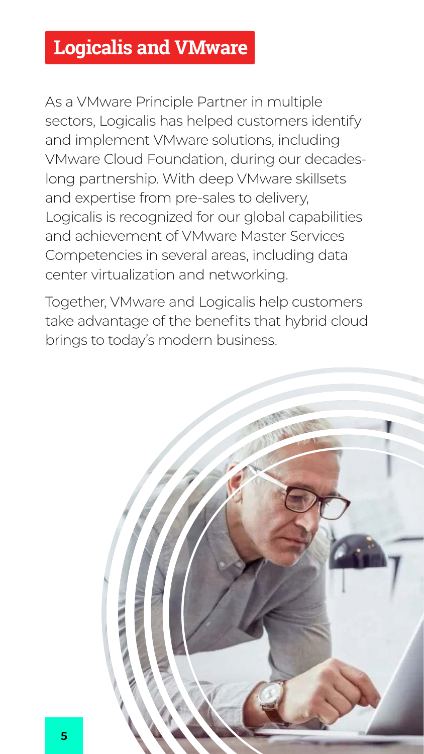As a VMware Principle Partner in multiple sectors, Logicalis has helped customers identify and implement VMware solutions, including VMware Cloud Foundation, during our decadeslong partnership. With deep VMware skillsets and expertise from pre-sales to delivery, Logicalis is recognized for our global capabilities and achievement of VMware Master Services Competencies in several areas, including data center virtualization and networking.

Together, VMware and Logicalis help customers take advantage of the benefits that hybrid cloud brings to today's modern business.



### **Logicalis and VMware**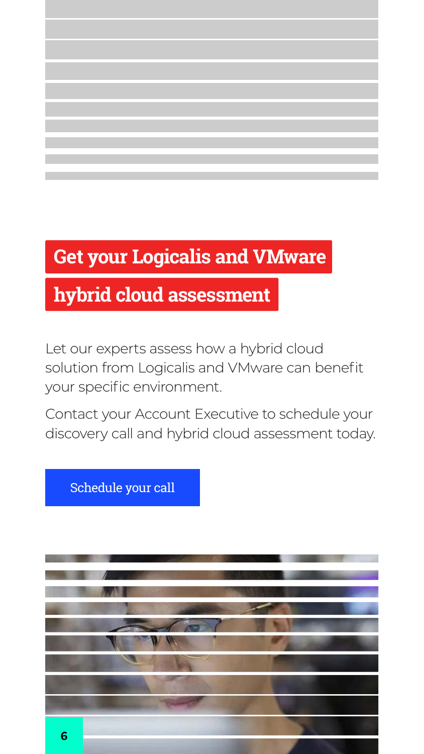Let our experts assess how a hybrid cloud solution from Logicalis and VMware can benefit your specific environment.

Contact your Account Executive to schedule your discovery call and hybrid cloud assessment today.

### **Get your Logicalis and VMware**

### **hybrid cloud assessment**

[Schedule your call](http://us.logicalis.com)